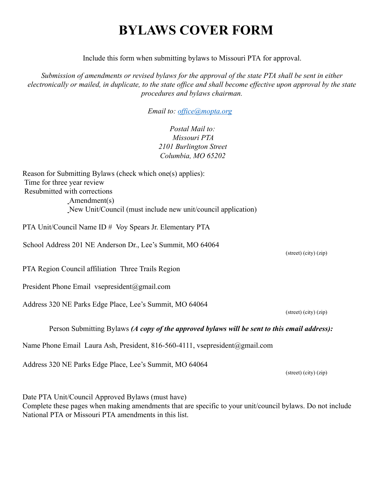# **BYLAWS COVER FORM**

Include this form when submitting bylaws to Missouri PTA for approval.

*Submission of amendments or revised bylaws for the approval of the state PTA shall be sent in either electronically or mailed, in duplicate, to the state office and shall become effective upon approval by the state procedures and bylaws chairman.* 

*Email to: office@mopta.org* 

*Postal Mail to: Missouri PTA 2101 Burlington Street Columbia, MO 65202* 

Reason for Submitting Bylaws (check which one(s) applies): Time for three year review Resubmitted with corrections Amendment(s) New Unit/Council (must include new unit/council application)

PTA Unit/Council Name ID # Voy Spears Jr. Elementary PTA

School Address 201 NE Anderson Dr., Lee's Summit, MO 64064

PTA Region Council affiliation Three Trails Region

President Phone Email vsepresident@gmail.com

Address 320 NE Parks Edge Place, Lee's Summit, MO 64064

(street) (city) (zip)

Person Submitting Bylaws *(A copy of the approved bylaws will be sent to this email address):* 

Name Phone Email Laura Ash, President, 816-560-4111, vsepresident@gmail.com

Address 320 NE Parks Edge Place, Lee's Summit, MO 64064

Date PTA Unit/Council Approved Bylaws (must have) Complete these pages when making amendments that are specific to your unit/council bylaws. Do not include National PTA or Missouri PTA amendments in this list.

(street) (city) (zip)

(street) (city) (zip)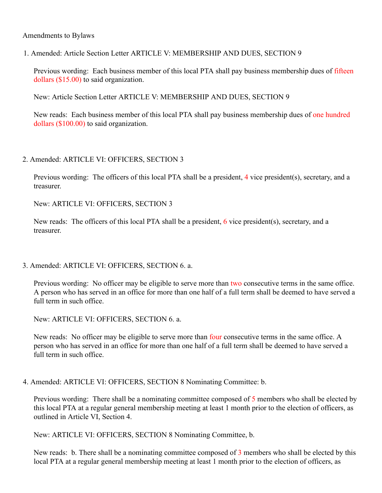### Amendments to Bylaws

1. Amended: Article Section Letter ARTICLE V: MEMBERSHIP AND DUES, SECTION 9

Previous wording: Each business member of this local PTA shall pay business membership dues of fifteen dollars (\$15.00) to said organization.

New: Article Section Letter ARTICLE V: MEMBERSHIP AND DUES, SECTION 9

New reads: Each business member of this local PTA shall pay business membership dues of one hundred dollars (\$100.00) to said organization.

### 2. Amended: ARTICLE VI: OFFICERS, SECTION 3

Previous wording: The officers of this local PTA shall be a president, 4 vice president(s), secretary, and a treasurer.

New: ARTICLE VI: OFFICERS, SECTION 3

New reads: The officers of this local PTA shall be a president, 6 vice president(s), secretary, and a treasurer.

3. Amended: ARTICLE VI: OFFICERS, SECTION 6. a.

Previous wording: No officer may be eligible to serve more than two consecutive terms in the same office. A person who has served in an office for more than one half of a full term shall be deemed to have served a full term in such office.

New: ARTICLE VI: OFFICERS, SECTION 6. a.

New reads: No officer may be eligible to serve more than four consecutive terms in the same office. A person who has served in an office for more than one half of a full term shall be deemed to have served a full term in such office.

4. Amended: ARTICLE VI: OFFICERS, SECTION 8 Nominating Committee: b.

Previous wording: There shall be a nominating committee composed of 5 members who shall be elected by this local PTA at a regular general membership meeting at least 1 month prior to the election of officers, as outlined in Article VI, Section 4.

New: ARTICLE VI: OFFICERS, SECTION 8 Nominating Committee, b.

New reads: b. There shall be a nominating committee composed of 3 members who shall be elected by this local PTA at a regular general membership meeting at least 1 month prior to the election of officers, as